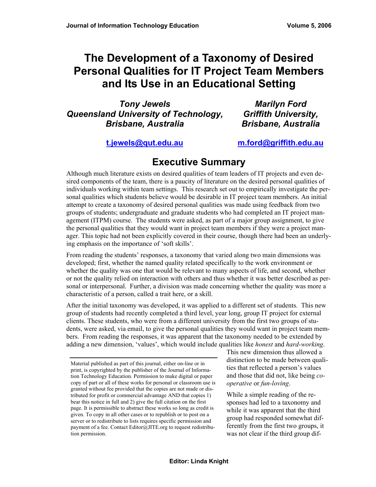# **The Development of a Taxonomy of Desired Personal Qualities for IT Project Team Members and Its Use in an Educational Setting**

*Tony Jewels Queensland University of Technology, Brisbane, Australia* 

*Marilyn Ford Griffith University, Brisbane, Australia* 

#### **[t.jewels@qut.edu.au](mailto:t.jewels@qut.edu.au)**

**[m.ford@griffith.edu.au](mailto:m.ford@griffith.edu.au)**

## **Executive Summary**

Although much literature exists on desired qualities of team leaders of IT projects and even desired components of the team, there is a paucity of literature on the desired personal qualities of individuals working within team settings. This research set out to empirically investigate the personal qualities which students believe would be desirable in IT project team members. An initial attempt to create a taxonomy of desired personal qualities was made using feedback from two groups of students; undergraduate and graduate students who had completed an IT project management (ITPM) course. The students were asked, as part of a major group assignment, to give the personal qualities that they would want in project team members if they were a project manager. This topic had not been explicitly covered in their course, though there had been an underlying emphasis on the importance of 'soft skills'.

From reading the students' responses, a taxonomy that varied along two main dimensions was developed; first, whether the named quality related specifically to the work environment or whether the quality was one that would be relevant to many aspects of life, and second, whether or not the quality relied on interaction with others and thus whether it was better described as personal or interpersonal. Further, a division was made concerning whether the quality was more a characteristic of a person, called a trait here, or a skill.

After the initial taxonomy was developed, it was applied to a different set of students. This new group of students had recently completed a third level, year long, group IT project for external clients. These students, who were from a different university from the first two groups of students, were asked, via email, to give the personal qualities they would want in project team members. From reading the responses, it was apparent that the taxonomy needed to be extended by adding a new dimension, 'values', which would include qualities like *honest* and *hard-working*.

This new dimension thus allowed a distinction to be made between qualities that reflected a person's values and those that did not, like being *cooperative* or *fun-loving*.

While a simple reading of the responses had led to a taxonomy and while it was apparent that the third group had responded somewhat differently from the first two groups, it was not clear if the third group dif-

Material published as part of this journal, either on-line or in print, is copyrighted by the publisher of the Journal of Information Technology Education. Permission to make digital or paper copy of part or all of these works for personal or classroom use is granted without fee provided that the copies are not made or distributed for profit or commercial advantage AND that copies 1) bear this notice in full and 2) give the full citation on the first page. It is permissible to abstract these works so long as credit is given. To copy in all other cases or to republish or to post on a server or to redistribute to lists requires specific permission and payment of a fee. Contact Editor@JITE.org to request redistribution permission.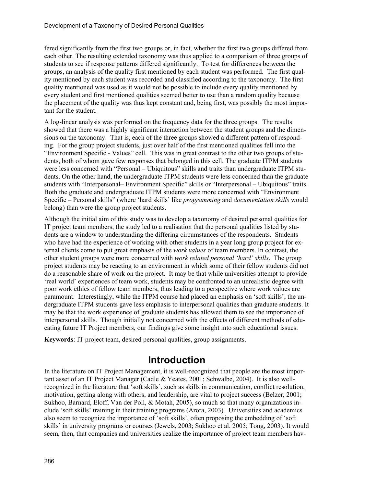fered significantly from the first two groups or, in fact, whether the first two groups differed from each other. The resulting extended taxonomy was thus applied to a comparison of three groups of students to see if response patterns differed significantly. To test for differences between the groups, an analysis of the quality first mentioned by each student was performed. The first quality mentioned by each student was recorded and classified according to the taxonomy. The first quality mentioned was used as it would not be possible to include every quality mentioned by every student and first mentioned qualities seemed better to use than a random quality because the placement of the quality was thus kept constant and, being first, was possibly the most important for the student.

A log-linear analysis was performed on the frequency data for the three groups. The results showed that there was a highly significant interaction between the student groups and the dimensions on the taxonomy. That is, each of the three groups showed a different pattern of responding. For the group project students, just over half of the first mentioned qualities fell into the "Environment Specific - Values" cell. This was in great contrast to the other two groups of students, both of whom gave few responses that belonged in this cell. The graduate ITPM students were less concerned with "Personal – Ubiquitous" skills and traits than undergraduate ITPM students. On the other hand, the undergraduate ITPM students were less concerned than the graduate students with "Interpersonal– Environment Specific" skills or "Interpersonal – Ubiquitous" traits. Both the graduate and undergraduate ITPM students were more concerned with "Environment Specific – Personal skills" (where 'hard skills' like *programming* and *documentation skills* would belong) than were the group project students.

Although the initial aim of this study was to develop a taxonomy of desired personal qualities for IT project team members, the study led to a realisation that the personal qualities listed by students are a window to understanding the differing circumstances of the respondents. Students who have had the experience of working with other students in a year long group project for external clients come to put great emphasis of the *work values* of team members. In contrast, the other student groups were more concerned with *work related personal 'hard' skills*. The group project students may be reacting to an environment in which some of their fellow students did not do a reasonable share of work on the project. It may be that while universities attempt to provide 'real world' experiences of team work, students may be confronted to an unrealistic degree with poor work ethics of fellow team members, thus leading to a perspective where work values are paramount. Interestingly, while the ITPM course had placed an emphasis on 'soft skills', the undergraduate ITPM students gave less emphasis to interpersonal qualities than graduate students. It may be that the work experience of graduate students has allowed them to see the importance of interpersonal skills. Though initially not concerned with the effects of different methods of educating future IT Project members, our findings give some insight into such educational issues.

**Keywords**: IT project team, desired personal qualities, group assignments.

## **Introduction**

In the literature on IT Project Management, it is well-recognized that people are the most important asset of an IT Project Manager (Cadle & Yeates, 2001; Schwalbe, 2004). It is also wellrecognized in the literature that 'soft skills', such as skills in communication, conflict resolution, motivation, getting along with others, and leadership, are vital to project success (Belzer, 2001; Sukhoo, Barnard, Eloff, Van der Poll, & Motah, 2005), so much so that many organizations include 'soft skills' training in their training programs (Arora, 2003). Universities and academics also seem to recognize the importance of 'soft skills', often proposing the embedding of 'soft skills' in university programs or courses (Jewels, 2003; Sukhoo et al. 2005; Tong, 2003). It would seem, then, that companies and universities realize the importance of project team members hav-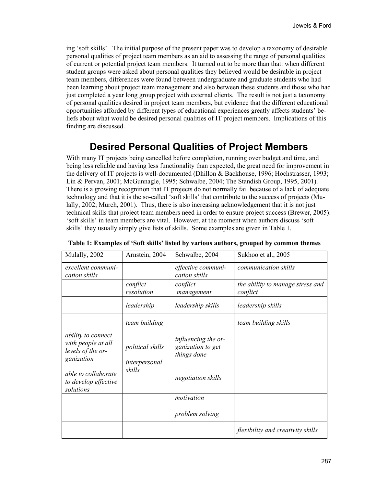ing 'soft skills'. The initial purpose of the present paper was to develop a taxonomy of desirable personal qualities of project team members as an aid to assessing the range of personal qualities of current or potential project team members. It turned out to be more than that: when different student groups were asked about personal qualities they believed would be desirable in project team members, differences were found between undergraduate and graduate students who had been learning about project team management and also between these students and those who had just completed a year long group project with external clients. The result is not just a taxonomy of personal qualities desired in project team members, but evidence that the different educational opportunities afforded by different types of educational experiences greatly affects students' beliefs about what would be desired personal qualities of IT project members. Implications of this finding are discussed.

## **Desired Personal Qualities of Project Members**

With many IT projects being cancelled before completion, running over budget and time, and being less reliable and having less functionality than expected, the great need for improvement in the delivery of IT projects is well-documented (Dhillon & Backhouse, 1996; Hochstrasser, 1993; Lin & Pervan, 2001; McGunnagle, 1995; Schwalbe, 2004; The Standish Group, 1995, 2001). There is a growing recognition that IT projects do not normally fail because of a lack of adequate technology and that it is the so-called 'soft skills' that contribute to the success of projects (Mulally, 2002; Murch, 2001). Thus, there is also increasing acknowledgement that it is not just technical skills that project team members need in order to ensure project success (Brewer, 2005): 'soft skills' in team members are vital. However, at the moment when authors discuss 'soft skills' they usually simply give lists of skills. Some examples are given in Table 1.

| Mulally, 2002                                                               | Arnstein, 2004                    | Schwalbe, 2004                                          | Sukhoo et al., 2005                          |
|-----------------------------------------------------------------------------|-----------------------------------|---------------------------------------------------------|----------------------------------------------|
| excellent communi-<br>cation skills                                         |                                   | effective communi-<br>cation skills                     | communication skills                         |
|                                                                             | conflict<br>resolution            | conflict<br>management                                  | the ability to manage stress and<br>conflict |
|                                                                             | leadership                        | leadership skills                                       | leadership skills                            |
|                                                                             | team building                     |                                                         | team building skills                         |
| ability to connect<br>with people at all<br>levels of the or-<br>ganization | political skills<br>interpersonal | influencing the or-<br>ganization to get<br>things done |                                              |
| able to collaborate<br>to develop effective<br>solutions                    | skills                            | negotiation skills                                      |                                              |
|                                                                             |                                   | motivation                                              |                                              |
|                                                                             |                                   | problem solving                                         |                                              |
|                                                                             |                                   |                                                         | flexibility and creativity skills            |

**Table 1: Examples of 'Soft skills' listed by various authors, grouped by common themes**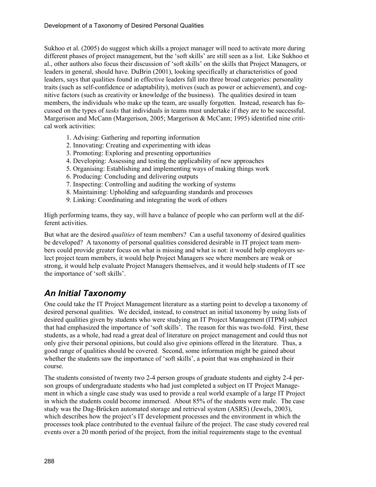Sukhoo et al. (2005) do suggest which skills a project manager will need to activate more during different phases of project management, but the 'soft skills' are still seen as a list. Like Sukhoo et al., other authors also focus their discussion of 'soft skills' on the skills that Project Managers, or leaders in general, should have. DuBrin (2001), looking specifically at characteristics of good leaders, says that qualities found in effective leaders fall into three broad categories: personality traits (such as self-confidence or adaptability), motives (such as power or achievement), and cognitive factors (such as creativity or knowledge of the business). The qualities desired in team members, the individuals who make up the team, are usually forgotten. Instead, research has focussed on the types of *tasks* that individuals in teams must undertake if they are to be successful. Margerison and McCann (Margerison, 2005; Margerison & McCann; 1995) identified nine critical work activities:

- 1. Advising: Gathering and reporting information
- 2. Innovating: Creating and experimenting with ideas
- 3. Promoting: Exploring and presenting opportunities
- 4. Developing: Assessing and testing the applicability of new approaches
- 5. Organising: Establishing and implementing ways of making things work
- 6. Producing: Concluding and delivering outputs
- 7. Inspecting: Controlling and auditing the working of systems
- 8. Maintaining: Upholding and safeguarding standards and processes
- 9. Linking: Coordinating and integrating the work of others

High performing teams, they say, will have a balance of people who can perform well at the different activities.

But what are the desired *qualities* of team members? Can a useful taxonomy of desired qualities be developed? A taxonomy of personal qualities considered desirable in IT project team members could provide greater focus on what is missing and what is not: it would help employers select project team members, it would help Project Managers see where members are weak or strong, it would help evaluate Project Managers themselves, and it would help students of IT see the importance of 'soft skills'.

### *An Initial Taxonomy*

One could take the IT Project Management literature as a starting point to develop a taxonomy of desired personal qualities. We decided, instead, to construct an initial taxonomy by using lists of desired qualities given by students who were studying an IT Project Management (ITPM) subject that had emphasized the importance of 'soft skills'. The reason for this was two-fold. First, these students, as a whole, had read a great deal of literature on project management and could thus not only give their personal opinions, but could also give opinions offered in the literature. Thus, a good range of qualities should be covered. Second, some information might be gained about whether the students saw the importance of 'soft skills', a point that was emphasized in their course.

The students consisted of twenty two 2-4 person groups of graduate students and eighty 2-4 person groups of undergraduate students who had just completed a subject on IT Project Management in which a single case study was used to provide a real world example of a large IT Project in which the students could become immersed. About 85% of the students were male. The case study was the Dag-Brücken automated storage and retrieval system (ASRS) (Jewels, 2003), which describes how the project's IT development processes and the environment in which the processes took place contributed to the eventual failure of the project. The case study covered real events over a 20 month period of the project, from the initial requirements stage to the eventual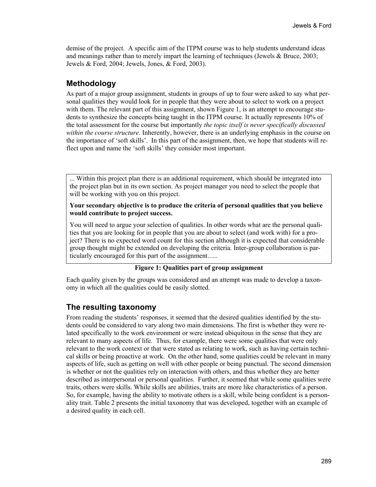demise of the project. A specific aim of the ITPM course was to help students understand ideas and meanings rather than to merely impart the learning of techniques (Jewels & Bruce, 2003; Jewels & Ford, 2004; Jewels, Jones, & Ford, 2003).

#### **Methodology**

As part of a major group assignment, students in groups of up to four were asked to say what personal qualities they would look for in people that they were about to select to work on a project with them. The relevant part of this assignment, shown Figure 1, is an attempt to encourage students to synthesize the concepts being taught in the ITPM course. It actually represents 10% of the total assessment for the course but importantly *the topic itself is never specifically discussed within the course structure*. Inherently, however, there is an underlying emphasis in the course on the importance of 'soft skills'. In this part of the assignment, then, we hope that students will reflect upon and name the 'soft skills' they consider most important.

... Within this project plan there is an additional requirement, which should be integrated into the project plan but in its own section. As project manager you need to select the people that will be working with you on this project.

#### **Your secondary objective is to produce the criteria of personal qualities that you believe would contribute to project success.**

You will need to argue your selection of qualities. In other words what are the personal qualities that you are looking for in people that you are about to select (and work with) for a project? There is no expected word count for this section although it is expected that considerable group thought might be extended on developing the criteria. Inter-group collaboration is particularly encouraged for this part of the assignment…..

#### **Figure 1: Qualities part of group assignment**

Each quality given by the groups was considered and an attempt was made to develop a taxonomy in which all the qualities could be easily slotted.

#### **The resulting taxonomy**

From reading the students' responses, it seemed that the desired qualities identified by the students could be considered to vary along two main dimensions. The first is whether they were related specifically to the work environment or were instead ubiquitous in the sense that they are relevant to many aspects of life. Thus, for example, there were some qualities that were only relevant to the work context or that were stated as relating to work, such as having certain technical skills or being proactive at work. On the other hand, some qualities could be relevant in many aspects of life, such as getting on well with other people or being punctual. The second dimension is whether or not the qualities rely on interaction with others, and thus whether they are better described as interpersonal or personal qualities. Further, it seemed that while some qualities were traits, others were skills. While skills are abilities, traits are more like characteristics of a person. So, for example, having the ability to motivate others is a skill, while being confident is a personality trait. Table 2 presents the initial taxonomy that was developed, together with an example of a desired quality in each cell.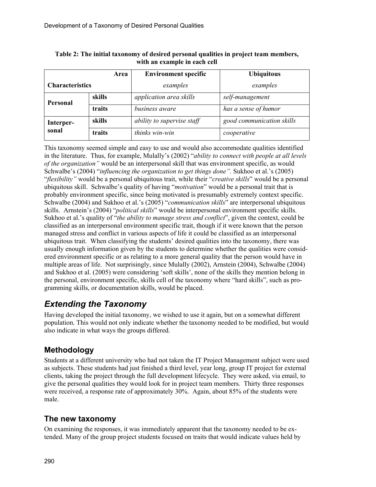|                        | Area   | <b>Environment specific</b> | <b>Ubiquitous</b>         |
|------------------------|--------|-----------------------------|---------------------------|
| <b>Characteristics</b> |        | examples                    | examples                  |
| <b>Personal</b>        | skills | application area skills     | self-management           |
|                        | traits | business aware              | has a sense of humor      |
| Interper-<br>sonal     | skills | ability to supervise staff  | good communication skills |
|                        | traits | thinks win-win              | cooperative               |

| Table 2: The initial taxonomy of desired personal qualities in project team members, |
|--------------------------------------------------------------------------------------|
| with an example in each cell                                                         |

This taxonomy seemed simple and easy to use and would also accommodate qualities identified in the literature. Thus, for example, Mulally's (2002) "*ability to connect with people at all levels of the organization"* would be an interpersonal skill that was environment specific, as would Schwalbe's (2004) "*influencing the organization to get things done".* Sukhoo et al.'s (2005) "*flexibility"* would be a personal ubiquitous trait, while their "*creative skills*" would be a personal ubiquitous skill. Schwalbe's quality of having "*motivation*" would be a personal trait that is probably environment specific, since being motivated is presumably extremely context specific. Schwalbe (2004) and Sukhoo et al.'s (2005) "*communication skills*" are interpersonal ubiquitous skills. Arnstein's (2004) "*political skills*" would be interpersonal environment specific skills. Sukhoo et al.'s quality of "*the ability to manage stress and conflict*", given the context, could be classified as an interpersonal environment specific trait, though if it were known that the person managed stress and conflict in various aspects of life it could be classified as an interpersonal ubiquitous trait. When classifying the students' desired qualities into the taxonomy, there was usually enough information given by the students to determine whether the qualities were considered environment specific or as relating to a more general quality that the person would have in multiple areas of life. Not surprisingly, since Mulally (2002), Arnstein (2004), Schwalbe (2004) and Sukhoo et al. (2005) were considering 'soft skills', none of the skills they mention belong in the personal, environment specific, skills cell of the taxonomy where "hard skills", such as programming skills, or documentation skills, would be placed.

### *Extending the Taxonomy*

Having developed the initial taxonomy, we wished to use it again, but on a somewhat different population. This would not only indicate whether the taxonomy needed to be modified, but would also indicate in what ways the groups differed.

### **Methodology**

Students at a different university who had not taken the IT Project Management subject were used as subjects. These students had just finished a third level, year long, group IT project for external clients, taking the project through the full development lifecycle. They were asked, via email, to give the personal qualities they would look for in project team members. Thirty three responses were received, a response rate of approximately 30%. Again, about 85% of the students were male.

#### **The new taxonomy**

On examining the responses, it was immediately apparent that the taxonomy needed to be extended. Many of the group project students focused on traits that would indicate values held by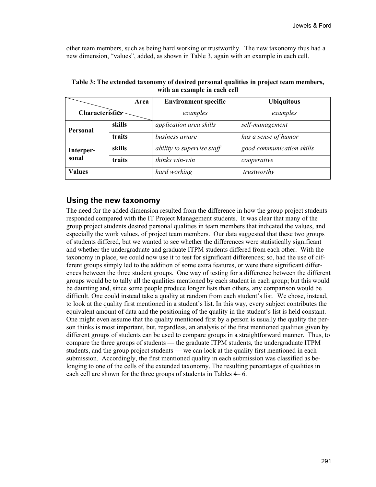other team members, such as being hard working or trustworthy. The new taxonomy thus had a new dimension, "values", added, as shown in Table 3, again with an example in each cell.

|                    | Area   | <b>Environment specific</b> | <b>Ubiquitous</b>         |
|--------------------|--------|-----------------------------|---------------------------|
| Characteristics    |        | examples                    | examples                  |
| Personal           | skills | application area skills     | self-management           |
|                    | traits | business aware              | has a sense of humor      |
| Interper-<br>sonal | skills | ability to supervise staff  | good communication skills |
|                    | traits | thinks win-win              | cooperative               |
| <b>Values</b>      |        | hard working                | trustworthy               |

**Table 3: The extended taxonomy of desired personal qualities in project team members, with an example in each cell**

#### **Using the new taxonomy**

The need for the added dimension resulted from the difference in how the group project students responded compared with the IT Project Management students. It was clear that many of the group project students desired personal qualities in team members that indicated the values, and especially the work values, of project team members. Our data suggested that these two groups of students differed, but we wanted to see whether the differences were statistically significant and whether the undergraduate and graduate ITPM students differed from each other. With the taxonomy in place, we could now use it to test for significant differences; so, had the use of different groups simply led to the addition of some extra features, or were there significant differences between the three student groups. One way of testing for a difference between the different groups would be to tally all the qualities mentioned by each student in each group; but this would be daunting and, since some people produce longer lists than others, any comparison would be difficult. One could instead take a quality at random from each student's list. We chose, instead, to look at the quality first mentioned in a student's list. In this way, every subject contributes the equivalent amount of data and the positioning of the quality in the student's list is held constant. One might even assume that the quality mentioned first by a person is usually the quality the person thinks is most important, but, regardless, an analysis of the first mentioned qualities given by different groups of students can be used to compare groups in a straightforward manner. Thus, to compare the three groups of students — the graduate ITPM students, the undergraduate ITPM students, and the group project students — we can look at the quality first mentioned in each submission. Accordingly, the first mentioned quality in each submission was classified as belonging to one of the cells of the extended taxonomy. The resulting percentages of qualities in each cell are shown for the three groups of students in Tables 4– 6.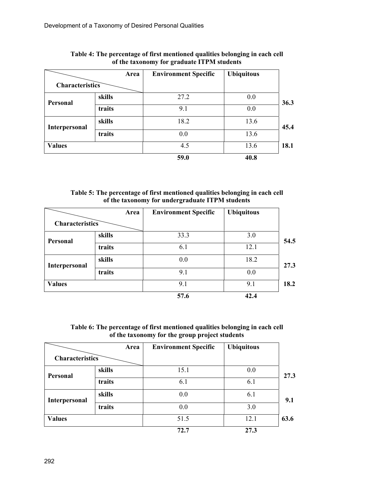|                      | Area   | <b>Environment Specific</b> | <b>Ubiquitous</b> |
|----------------------|--------|-----------------------------|-------------------|
| Characteristics      |        |                             |                   |
| <b>Personal</b>      | skills | 27.2                        | 0.0               |
|                      | traits | 9.1                         | 0.0               |
| <b>Interpersonal</b> | skills | 18.2                        | 13.6              |
|                      | traits | 0.0                         | 13.6              |
| <b>Values</b>        |        | 4.5                         | 13.6              |
|                      |        | 59.0                        | 40.8              |

#### **Table 4: The percentage of first mentioned qualities belonging in each cell of the taxonomy for graduate ITPM students**

| Table 5: The percentage of first mentioned qualities belonging in each cell |
|-----------------------------------------------------------------------------|
| of the taxonomy for undergraduate ITPM students                             |

|                      | Area   | <b>Environment Specific</b> | <b>Ubiquitous</b> |      |
|----------------------|--------|-----------------------------|-------------------|------|
| Characteristics      |        |                             |                   |      |
| <b>Personal</b>      | skills | 33.3                        | 3.0               | 54.5 |
|                      | traits | 6.1                         | 12.1              |      |
| <b>Interpersonal</b> | skills | 0.0                         | 18.2              | 27.3 |
|                      | traits | 9.1                         | 0.0               |      |
| <b>Values</b>        |        | 9.1                         | 9.1               | 18.2 |
|                      |        | 57.6                        | 42.4              |      |

| Table 6: The percentage of first mentioned qualities belonging in each cell |  |
|-----------------------------------------------------------------------------|--|
| of the taxonomy for the group project students                              |  |

|                 | Area   | <b>Environment Specific</b> | <b>Ubiquitous</b> |      |
|-----------------|--------|-----------------------------|-------------------|------|
| Characteristics |        |                             |                   |      |
| Personal        | skills | 15.1                        | 0.0               | 27.3 |
|                 | traits | 6.1                         | 6.1               |      |
| Interpersonal   | skills | 0.0                         | 6.1               | 9.1  |
|                 | traits | 0.0                         | 3.0               |      |
| <b>Values</b>   |        | 51.5                        | 12.1              | 63.6 |
|                 |        | 72.7                        | 27.3              |      |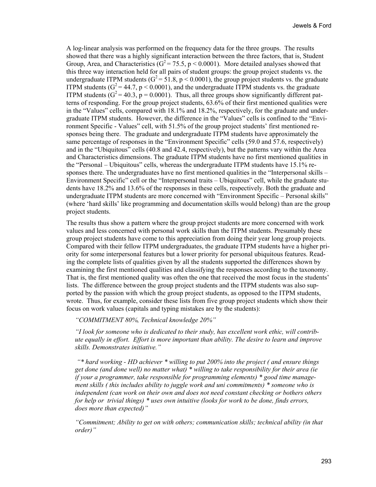A log-linear analysis was performed on the frequency data for the three groups. The results showed that there was a highly significant interaction between the three factors, that is, Student Group, Area, and Characteristics ( $G^2 = 75.5$ , p < 0.0001). More detailed analyses showed that this three way interaction held for all pairs of student groups: the group project students vs. the undergraduate ITPM students  $(G^2 = 51.8, p < 0.0001)$ , the group project students vs. the graduate ITPM students ( $G^2 = 44.7$ ,  $p < 0.0001$ ), and the undergraduate ITPM students vs. the graduate ITPM students  $(G^2 = 40.3, p = 0.0001)$ . Thus, all three groups show significantly different patterns of responding. For the group project students, 63.6% of their first mentioned qualities were in the "Values" cells, compared with 18.1% and 18.2%, respectively, for the graduate and undergraduate ITPM students. However, the difference in the "Values" cells is confined to the "Environment Specific - Values" cell, with 51.5% of the group project students' first mentioned responses being there. The graduate and undergraduate ITPM students have approximately the same percentage of responses in the "Environment Specific" cells (59.0 and 57.6, respectively) and in the "Ubiquitous" cells (40.8 and 42.4, respectively), but the patterns vary within the Area and Characteristics dimensions. The graduate ITPM students have no first mentioned qualities in the "Personal – Ubiquitous" cells, whereas the undergraduate ITPM students have 15.1% responses there. The undergraduates have no first mentioned qualities in the "Interpersonal skills – Environment Specific" cell or the "Interpersonal traits – Ubiquitous" cell, while the graduate students have 18.2% and 13.6% of the responses in these cells, respectively. Both the graduate and undergraduate ITPM students are more concerned with "Environment Specific – Personal skills" (where 'hard skills' like programming and documentation skills would belong) than are the group project students.

The results thus show a pattern where the group project students are more concerned with work values and less concerned with personal work skills than the ITPM students. Presumably these group project students have come to this appreciation from doing their year long group projects. Compared with their fellow ITPM undergraduates, the graduate ITPM students have a higher priority for some interpersonal features but a lower priority for personal ubiquitous features. Reading the complete lists of qualities given by all the students supported the differences shown by examining the first mentioned qualities and classifying the responses according to the taxonomy. That is, the first mentioned quality was often the one that received the most focus in the students' lists. The difference between the group project students and the ITPM students was also supported by the passion with which the group project students, as opposed to the ITPM students, wrote. Thus, for example, consider these lists from five group project students which show their focus on work values (capitals and typing mistakes are by the students):

#### *"COMMITMENT 80%, Technical knowledge 20%"*

*"I look for someone who is dedicated to their study, has excellent work ethic, will contribute equally in effort. Effort is more important than ability. The desire to learn and improve skills. Demonstrates initiative."* 

 *"\* hard working - HD achiever \* willing to put 200% into the project ( and ensure things get done (and done well) no matter what) \* willing to take responsibility for their area (ie if your a programmer, take responsible for programming elements) \* good time management skills ( this includes ability to juggle work and uni commitments) \* someone who is independent (can work on their own and does not need constant checking or bothers others for help or trivial things) \* uses own intuitive (looks for work to be done, finds errors, does more than expected)"* 

*"Commitment; Ability to get on with others; communication skills; technical ability (in that order)"*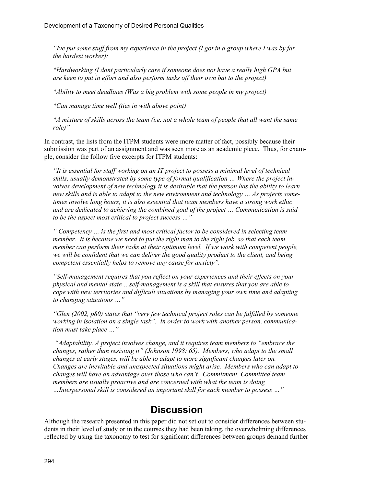*"Ive put some stuff from my experience in the project (I got in a group where I was by far the hardest worker):* 

*\*Hardworking (I dont particularly care if someone does not have a really high GPA but are keen to put in effort and also perform tasks off their own bat to the project)* 

*\*Ability to meet deadlines (Was a big problem with some people in my project)* 

*\*Can manage time well (ties in with above point)* 

*\*A mixture of skills across the team (i.e. not a whole team of people that all want the same role)"* 

In contrast, the lists from the ITPM students were more matter of fact, possibly because their submission was part of an assignment and was seen more as an academic piece. Thus, for example, consider the follow five excerpts for ITPM students:

*"It is essential for staff working on an IT project to possess a minimal level of technical skills, usually demonstrated by some type of formal qualification … Where the project involves development of new technology it is desirable that the person has the ability to learn new skills and is able to adapt to the new environment and technology … As projects sometimes involve long hours, it is also essential that team members have a strong work ethic and are dedicated to achieving the combined goal of the project … Communication is said to be the aspect most critical to project success …"* 

*" Competency … is the first and most critical factor to be considered in selecting team member. It is because we need to put the right man to the right job, so that each team member can perform their tasks at their optimum level. If we work with competent people, we will be confident that we can deliver the good quality product to the client, and being competent essentially helps to remove any cause for anxiety".* 

*"Self-management requires that you reflect on your experiences and their effects on your physical and mental state …self-management is a skill that ensures that you are able to cope with new territories and difficult situations by managing your own time and adapting to changing situations …"* 

*"Glen (2002, p80) states that "very few technical project roles can be fulfilled by someone working in isolation on a single task". In order to work with another person, communication must take place …"* 

 *"Adaptability. A project involves change, and it requires team members to "embrace the changes, rather than resisting it" (Johnson 1998: 65). Members, who adapt to the small changes at early stages, will be able to adapt to more significant changes later on. Changes are inevitable and unexpected situations might arise. Members who can adapt to changes will have an advantage over those who can't. Commitment. Committed team members are usually proactive and are concerned with what the team is doing …Interpersonal skill is considered an important skill for each member to possess …"* 

### **Discussion**

Although the research presented in this paper did not set out to consider differences between students in their level of study or in the courses they had been taking, the overwhelming differences reflected by using the taxonomy to test for significant differences between groups demand further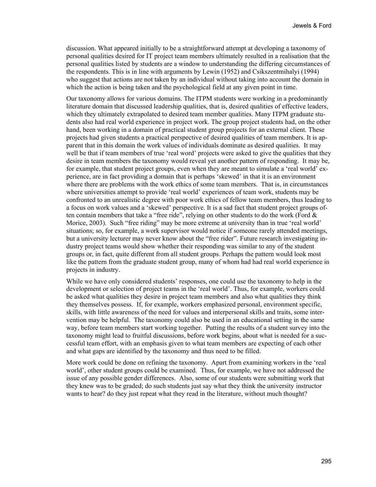discussion. What appeared initially to be a straightforward attempt at developing a taxonomy of personal qualities desired for IT project team members ultimately resulted in a realisation that the personal qualities listed by students are a window to understanding the differing circumstances of the respondents. This is in line with arguments by Lewin (1952) and Csikszentmihalyi (1994) who suggest that actions are not taken by an individual without taking into account the domain in which the action is being taken and the psychological field at any given point in time.

Our taxonomy allows for various domains. The ITPM students were working in a predominantly literature domain that discussed leadership qualities, that is, desired qualities of effective leaders, which they ultimately extrapolated to desired team member qualities. Many ITPM graduate students also had real world experience in project work. The group project students had, on the other hand, been working in a domain of practical student group projects for an external client. These projects had given students a practical perspective of desired qualities of team members. It is apparent that in this domain the work values of individuals dominate as desired qualities. It may well be that if team members of true 'real word' projects were asked to give the qualities that they desire in team members the taxonomy would reveal yet another pattern of responding. It may be, for example, that student project groups, even when they are meant to simulate a 'real world' experience, are in fact providing a domain that is perhaps 'skewed' in that it is an environment where there are problems with the work ethics of some team members. That is, in circumstances where universities attempt to provide 'real world' experiences of team work, students may be confronted to an unrealistic degree with poor work ethics of fellow team members, thus leading to a focus on work values and a 'skewed' perspective. It is a sad fact that student project groups often contain members that take a "free ride", relying on other students to do the work (Ford  $\&$ Morice, 2003). Such "free riding" may be more extreme at university than in true 'real world' situations; so, for example, a work supervisor would notice if someone rarely attended meetings, but a university lecturer may never know about the "free rider". Future research investigating industry project teams would show whether their responding was similar to any of the student groups or, in fact, quite different from all student groups. Perhaps the pattern would look most like the pattern from the graduate student group, many of whom had had real world experience in projects in industry.

While we have only considered students' responses, one could use the taxonomy to help in the development or selection of project teams in the 'real world'. Thus, for example, workers could be asked what qualities they desire in project team members and also what qualities they think they themselves possess. If, for example, workers emphasized personal, environment specific, skills, with little awareness of the need for values and interpersonal skills and traits, some intervention may be helpful. The taxonomy could also be used in an educational setting in the same way, before team members start working together. Putting the results of a student survey into the taxonomy might lead to fruitful discussions, before work begins, about what is needed for a successful team effort, with an emphasis given to what team members are expecting of each other and what gaps are identified by the taxonomy and thus need to be filled.

More work could be done on refining the taxonomy. Apart from examining workers in the 'real world', other student groups could be examined. Thus, for example, we have not addressed the issue of any possible gender differences. Also, some of our students were submitting work that they knew was to be graded; do such students just say what they think the university instructor wants to hear? do they just repeat what they read in the literature, without much thought?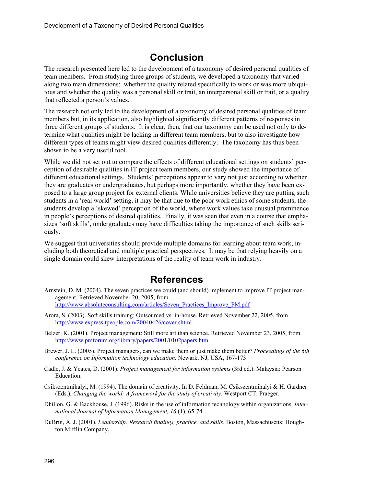## **Conclusion**

The research presented here led to the development of a taxonomy of desired personal qualities of team members. From studying three groups of students, we developed a taxonomy that varied along two main dimensions: whether the quality related specifically to work or was more ubiquitous and whether the quality was a personal skill or trait, an interpersonal skill or trait, or a quality that reflected a person's values.

The research not only led to the development of a taxonomy of desired personal qualities of team members but, in its application, also highlighted significantly different patterns of responses in three different groups of students. It is clear, then, that our taxonomy can be used not only to determine what qualities might be lacking in different team members, but to also investigate how different types of teams might view desired qualities differently. The taxonomy has thus been shown to be a very useful tool.

While we did not set out to compare the effects of different educational settings on students' perception of desirable qualities in IT project team members, our study showed the importance of different educational settings. Students' perceptions appear to vary not just according to whether they are graduates or undergraduates, but perhaps more importantly, whether they have been exposed to a large group project for external clients. While universities believe they are putting such students in a 'real world' setting, it may be that due to the poor work ethics of some students, the students develop a 'skewed' perception of the world, where work values take unusual prominence in people's perceptions of desired qualities. Finally, it was seen that even in a course that emphasizes 'soft skills', undergraduates may have difficulties taking the importance of such skills seriously.

We suggest that universities should provide multiple domains for learning about team work, including both theoretical and multiple practical perspectives. It may be that relying heavily on a single domain could skew interpretations of the reality of team work in industry.

## **References**

- Arnstein, D. M. (2004). The seven practices we could (and should) implement to improve IT project management. Retrieved November 20, 2005, from [http://www.absoluteconsulting.com/articles/Seven\\_Practices\\_Improve\\_PM.pdf](http://www.absoluteconsulting.com/articles/Seven_Practices_Improve_PM.pdf)
- Arora, S. (2003). Soft skills training: Outsourced vs. in-house. Retrieved November 22, 2005, from <http://www.expressitpeople.com/20040426/cover.shtml>
- Belzer, K. (2001). Project management: Still more art than science. Retrieved November 23, 2005, from <http://www.pmforum.org/library/papers/2001/0102papers.htm>
- Brewer, J. L. (2005). Project managers, can we make them or just make them better? *Proceedings of the 6th conference on Information technology education.* Newark, NJ, USA, 167-173.
- Cadle, J. & Yeates, D. (2001). *Project management for information systems* (3rd ed.). Malaysia: Pearson Education.
- Csikszentmihalyi, M. (1994). The domain of creativity. In D. Feldman, M. Csikszentmihalyi & H. Gardner (Eds.), *Changing the world: A framework for the study of creativity*. Westport CT: Praeger.
- Dhillon, G. & Backhouse, J. (1996). Risks in the use of information technology within organizations. *International Journal of Information Management, 16* (1), 65-74.
- DuBrin, A. J. (2001). *Leadership: Research findings, practice, and skills*. Boston, Massachusetts: Houghton Mifflin Company.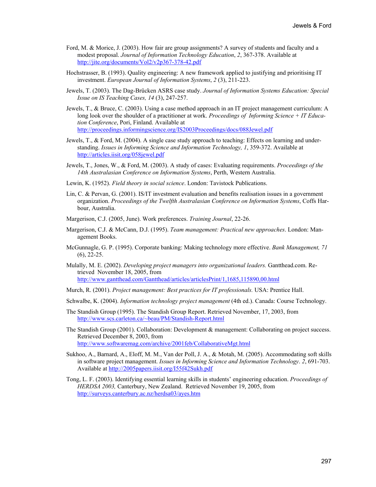- Ford, M. & Morice, J. (2003). How fair are group assignments? A survey of students and faculty and a modest proposal. *Journal of Information Technology Education*, *2*, 367-378. Available at <http://jite.org/documents/Vol2/v2p367-378-42.pdf>
- Hochstrasser, B. (1993). Quality engineering: A new framework applied to justifying and prioritising IT investment. *European Journal of Information Systems*, *2* (3), 211-223.
- Jewels, T. (2003). The Dag-Brücken ASRS case study. *Journal of Information Systems Education: Special Issue on IS Teaching Cases, 14* (3), 247-257.
- Jewels, T., & Bruce, C. (2003). Using a case method approach in an IT project management curriculum: A long look over the shoulder of a practitioner at work. *Proceedings of Informing Science + IT Education Conference*, Pori, Finland. Available at <http://proceedings.informingscience.org/IS2003Proceedings/docs/088Jewel.pdf>
- Jewels, T., & Ford, M. (2004). A single case study approach to teaching: Effects on learning and understanding. *Issues in Informing Science and Information Technology, 1*, 359-372. Available at <http://articles.iisit.org/058jewel.pdf>
- Jewels, T., Jones, W., & Ford, M. (2003). A study of cases: Evaluating requirements. *Proceedings of the 14th Australasian Conference on Information Systems*, Perth, Western Australia.
- Lewin, K. (1952). *Field theory in social science*. London: Tavistock Publications.
- Lin, C. & Pervan, G. (2001). IS/IT investment evaluation and benefits realisation issues in a government organization. *Proceedings of the Twelfth Australasian Conference on Information Systems*, Coffs Harbour, Australia.
- Margerison, C.J. (2005, June). Work preferences. *Training Journal*, 22-26.
- Margerison, C.J. & McCann, D.J. (1995). *Team management: Practical new approaches*. London: Management Books.
- McGunnagle, G. P. (1995). Corporate banking: Making technology more effective. *Bank Management, 71*  (6), 22-25.
- Mulally, M. E. (2002). *Developing project managers into organizational leaders.* Gantthead.com. Retrieved November 18, 2005, from <http://www.gantthead.com/Gantthead/articles/articlesPrint/1,1685,115890,00.html>
- Murch, R. (2001). *Project management: Best practices for IT professionals.* USA: Prentice Hall.
- Schwalbe, K. (2004). *Information technology project management* (4th ed.). Canada: Course Technology.
- The Standish Group (1995). The Standish Group Report. Retrieved November, 17, 2003, from <http://www.scs.carleton.ca/~beau/PM/Standish-Report.html>
- The Standish Group (2001). Collaboration: Development & management: Collaborating on project success. Retrieved December 8, 2003, from <http://www.softwaremag.com/archive/2001feb/CollaborativeMgt.html>
- Sukhoo, A., Barnard, A., Eloff, M. M., Van der Poll, J. A., & Motah, M. (2005). Accommodating soft skills in software project management. *Issues in Informing Science and Information Technology*. *2*, 691-703. Available at <http://2005papers.iisit.org/I55f42Sukh.pdf>
- Tong, L. F. (2003). Identifying essential learning skills in students' engineering education. *Proceedings of HERDSA 2003,* Canterbury, New Zealand. Retrieved November 19, 2005, from <http://surveys.canterbury.ac.nz/herdsa03/ayes.htm>